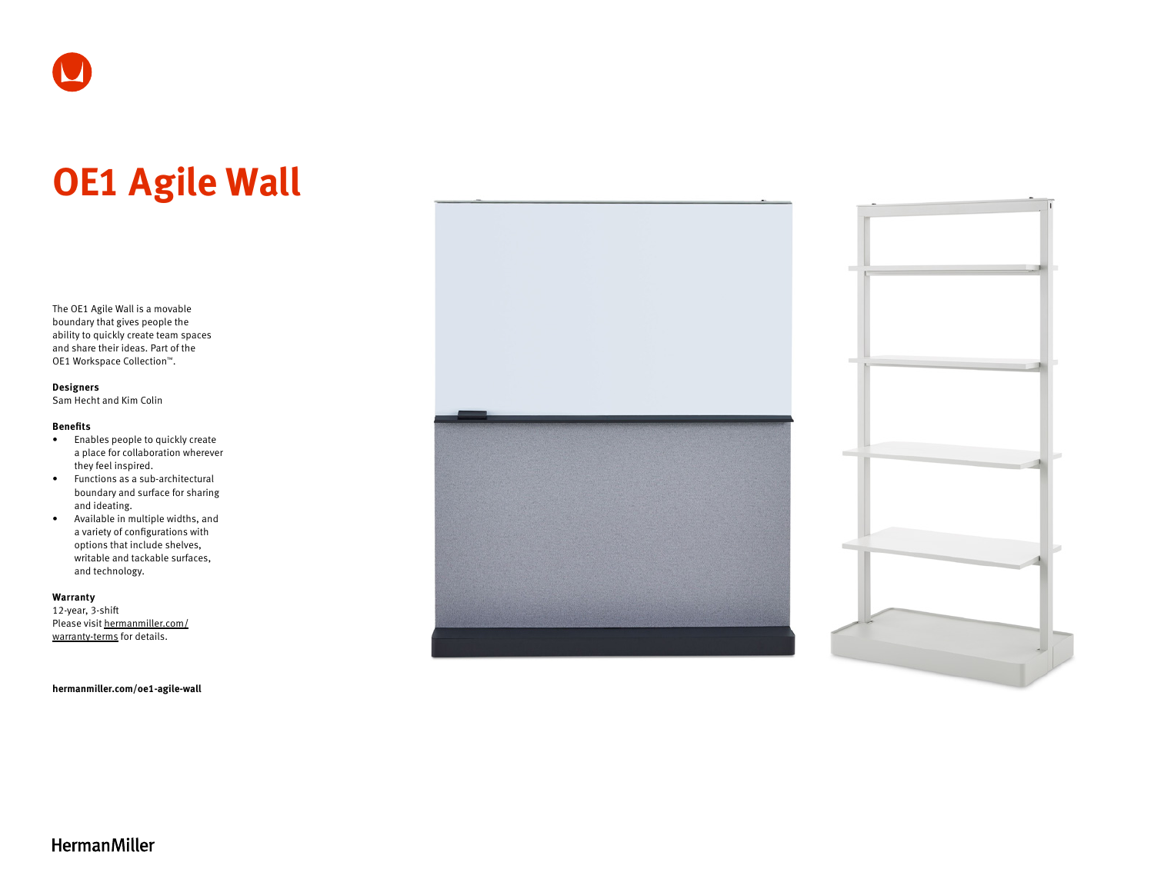# **OE1 Agile Wall**

The OE1 Agile Wall is a movable boundary that gives people the ability to quickly create team spaces and share their ideas. Part of the OE1 Workspace Collection™.

#### **Designers**

Sam Hecht and Kim Colin

#### **Benefits**

- Enables people to quickly create a place for collaboration wherever they feel inspired.
- Functions as a sub-architectural boundary and surface for sharing and ideating.
- Available in multiple widths, and a variety of configurations with options that include shelves, writable and tackable surfaces, and technology.

#### **Warranty**

12-year, 3-shift Please visit [hermanmiller.com/](https://hermanmiller.com/warranty-terms) [warranty-terms](https://hermanmiller.com/warranty-terms) for details.

**[hermanmiller.com/oe1-agile-wall](https://hermanmiller.com/oe1-agile-wall)**